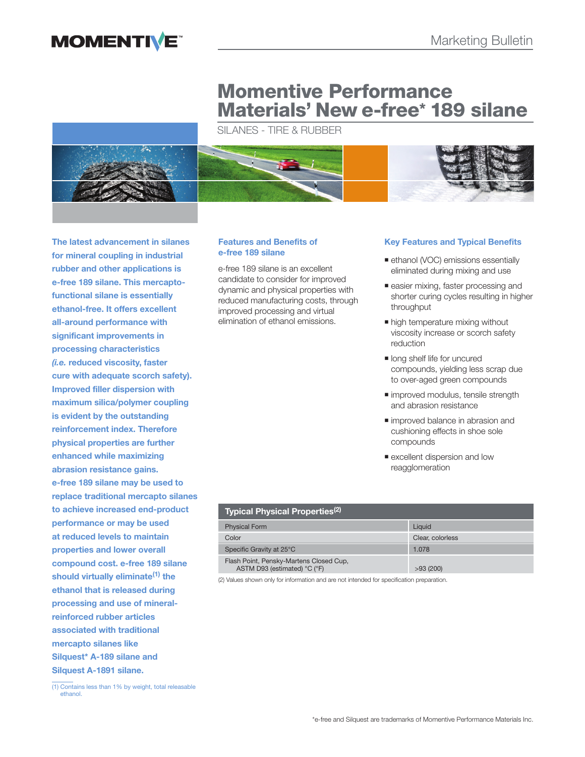

# **Momentive Performance Materials' New e-free\* 189 silane**

SILANES - TIRE & RUBBER



**The latest advancement in silanes for mineral coupling in industrial rubber and other applications is e-free 189 silane. This mercaptofunctional silane is essentially ethanol-free. It offers excellent all-around performance with significant improvements in processing characteristics**  *(i.e.* **reduced viscosity, faster cure with adequate scorch safety). Improved filler dispersion with maximum silica/polymer coupling is evident by the outstanding reinforcement index. Therefore physical properties are further enhanced while maximizing abrasion resistance gains. e-free 189 silane may be used to replace traditional mercapto silanes to achieve increased end-product performance or may be used at reduced levels to maintain properties and lower overall compound cost. e-free 189 silane should virtually eliminate(1) the ethanol that is released during processing and use of mineralreinforced rubber articles associated with traditional mercapto silanes like Silquest\* A-189 silane and Silquest A-1891 silane.**

#### **Features and Benefits of e-free 189 silane**

e-free 189 silane is an excellent candidate to consider for improved dynamic and physical properties with reduced manufacturing costs, through improved processing and virtual elimination of ethanol emissions.

## **Key Features and Typical Benefits**

- **ethanol (VOC) emissions essentially** eliminated during mixing and use
- **easier mixing, faster processing and** shorter curing cycles resulting in higher throughput
- high temperature mixing without viscosity increase or scorch safety reduction
- **In long shelf life for uncured** compounds, yielding less scrap due to over-aged green compounds
- improved modulus, tensile strength and abrasion resistance
- improved balance in abrasion and cushioning effects in shoe sole compounds
- **Excellent dispersion and low** reagglomeration

| Typical Physical Properties <sup>(2)</sup>                              |                  |
|-------------------------------------------------------------------------|------------------|
| <b>Physical Form</b>                                                    | Liauid           |
| Color                                                                   | Clear, colorless |
| Specific Gravity at 25°C                                                | 1.078            |
| Flash Point, Pensky-Martens Closed Cup,<br>ASTM D93 (estimated) °C (°F) | >93(200)         |

(2) Values shown only for information and are not intended for specification preparation.

<sup>(1)</sup> Contains less than 1% by weight, total releasable ethanol.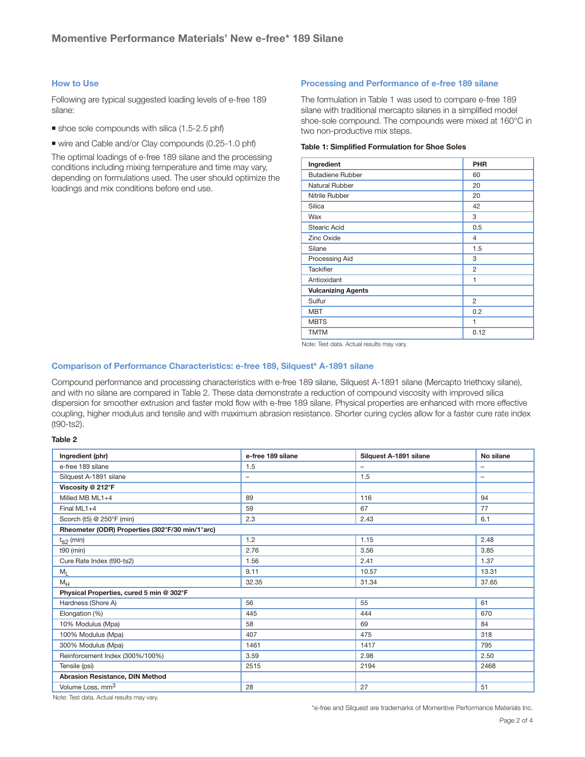#### **How to Use**

Following are typical suggested loading levels of e-free 189 silane:

- shoe sole compounds with silica (1.5-2.5 phf)
- wire and Cable and/or Clay compounds (0.25-1.0 phf)

The optimal loadings of e-free 189 silane and the processing conditions including mixing temperature and time may vary, depending on formulations used. The user should optimize the loadings and mix conditions before end use.

#### **Processing and Performance of e-free 189 silane**

The formulation in Table 1 was used to compare e-free 189 silane with traditional mercapto silanes in a simplified model shoe-sole compound. The compounds were mixed at 160°C in two non-productive mix steps.

#### **Table 1: Simplified Formulation for Shoe Soles**

| Ingredient                | <b>PHR</b>     |
|---------------------------|----------------|
| <b>Butadiene Rubber</b>   | 60             |
| Natural Rubber            | 20             |
| Nitrile Rubber            | 20             |
| Silica                    | 42             |
| Wax                       | 3              |
| <b>Stearic Acid</b>       | 0.5            |
| Zinc Oxide                | 4              |
| Silane                    | 1.5            |
| Processing Aid            | 3              |
| <b>Tackifier</b>          | $\overline{2}$ |
| Antioxidant               | 1              |
| <b>Vulcanizing Agents</b> |                |
| Sulfur                    | $\overline{2}$ |
| <b>MBT</b>                | 0.2            |
| <b>MBTS</b>               | 1              |
| <b>TMTM</b>               | 0.12           |

Note: Test data. Actual results may vary.

#### **Comparison of Performance Characteristics: e-free 189, Silquest\* A-1891 silane**

Compound performance and processing characteristics with e-free 189 silane, Silquest A-1891 silane (Mercapto triethoxy silane), and with no silane are compared in Table 2. These data demonstrate a reduction of compound viscosity with improved silica dispersion for smoother extrusion and faster mold flow with e-free 189 silane. Physical properties are enhanced with more effective coupling, higher modulus and tensile and with maximum abrasion resistance. Shorter curing cycles allow for a faster cure rate index (t90-ts2).

#### **Table 2**

| Ingredient (phr)                                | e-free 189 silane        | Silquest A-1891 silane | No silane                |  |
|-------------------------------------------------|--------------------------|------------------------|--------------------------|--|
| e-free 189 silane                               | 1.5                      |                        | $\overline{\phantom{0}}$ |  |
| Silquest A-1891 silane                          | $\overline{\phantom{m}}$ | 1.5                    | $\overline{\phantom{m}}$ |  |
| Viscosity @ 212°F                               |                          |                        |                          |  |
| Milled MB $ML1+4$                               | 89                       | 116                    | 94                       |  |
| Final ML1+4                                     | 59                       | 67                     | 77                       |  |
| Scorch (t5) @ 250°F (min)                       | 2.3                      | 2.43                   | 6.1                      |  |
| Rheometer (ODR) Properties (302°F/30 min/1°arc) |                          |                        |                          |  |
| $t_{S2}$ (min)                                  | 1.2                      | 1.15                   | 2.48                     |  |
| $t90$ (min)                                     | 2.76                     | 3.56                   | 3.85                     |  |
| Cure Rate Index (t90-ts2)                       | 1.56                     | 2.41                   | 1.37                     |  |
| $M_{L}$                                         | 9.11                     | 10.57                  | 13.31                    |  |
| $M_H$                                           | 32.35                    | 31.34                  | 37.65                    |  |
| Physical Properties, cured 5 min @ 302°F        |                          |                        |                          |  |
| Hardness (Shore A)                              | 56                       | 55                     | 61                       |  |
| Elongation (%)                                  | 445                      | 444                    | 670                      |  |
| 10% Modulus (Mpa)                               | 58                       | 69                     | 84                       |  |
| 100% Modulus (Mpa)                              | 407                      | 475                    | 318                      |  |
| 300% Modulus (Mpa)                              | 1461                     | 1417                   | 795                      |  |
| Reinforcement Index (300%/100%)                 | 3.59                     | 2.98                   | 2.50                     |  |
| Tensile (psi)                                   | 2515                     | 2194                   | 2468                     |  |
| Abrasion Resistance, DIN Method                 |                          |                        |                          |  |
| Volume Loss, mm <sup>3</sup>                    | 28                       | 27                     | 51                       |  |

Note: Test data. Actual results may vary.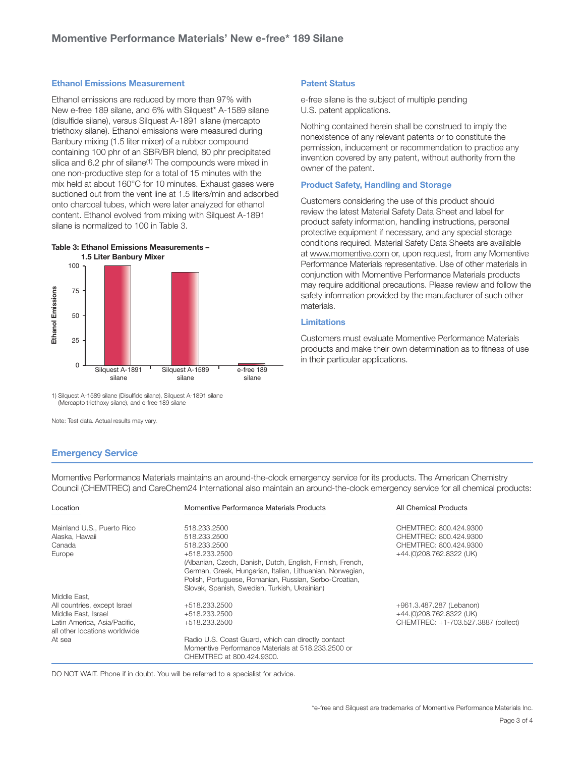#### **Ethanol Emissions Measurement**

Ethanol emissions are reduced by more than 97% with New e-free 189 silane, and 6% with Silquest\* A-1589 silane (disulfide silane), versus Silquest A-1891 silane (mercapto triethoxy silane). Ethanol emissions were measured during Banbury mixing (1.5 liter mixer) of a rubber compound containing 100 phr of an SBR/BR blend, 80 phr precipitated silica and 6.2 phr of silane<sup>(1)</sup> The compounds were mixed in one non-productive step for a total of 15 minutes with the mix held at about 160°C for 10 minutes. Exhaust gases were suctioned out from the vent line at 1.5 liters/min and adsorbed onto charcoal tubes, which were later analyzed for ethanol content. Ethanol evolved from mixing with Silquest A-1891 silane is normalized to 100 in Table 3.

# **Table 3: Ethanol Emissions Measurements –**



1) Silquest A-1589 silane (Disulfide silane), Silquest A-1891 silane (Mercapto triethoxy silane), and e-free 189 silane

#### **Emergency Service**

Momentive Performance Materials maintains an around-the-clock emergency service for its products. The American Chemistry Council (CHEMTREC) and CareChem24 International also maintain an around-the-clock emergency service for all chemical products:

| Location                                                      | Momentive Performance Materials Products                                                                                                                                                                                                            | All Chemical Products               |
|---------------------------------------------------------------|-----------------------------------------------------------------------------------------------------------------------------------------------------------------------------------------------------------------------------------------------------|-------------------------------------|
| Mainland U.S., Puerto Rico                                    | 518.233.2500                                                                                                                                                                                                                                        | CHEMTREC: 800.424.9300              |
| Alaska, Hawaii                                                | 518.233.2500                                                                                                                                                                                                                                        | CHEMTREC: 800.424.9300              |
| Canada                                                        | 518.233.2500                                                                                                                                                                                                                                        | CHEMTREC: 800.424.9300              |
| Europe                                                        | +518.233.2500<br>(Albanian, Czech, Danish, Dutch, English, Finnish, French,<br>German, Greek, Hungarian, Italian, Lithuanian, Norwegian,<br>Polish, Portuguese, Romanian, Russian, Serbo-Croatian,<br>Slovak, Spanish, Swedish, Turkish, Ukrainian) | +44.(0)208.762.8322 (UK)            |
| Middle East,                                                  |                                                                                                                                                                                                                                                     |                                     |
| All countries, except Israel                                  | +518.233.2500                                                                                                                                                                                                                                       | +961.3.487.287 (Lebanon)            |
| Middle East, Israel                                           | +518.233.2500                                                                                                                                                                                                                                       | +44.(0)208.762.8322 (UK)            |
| Latin America, Asia/Pacific,<br>all other locations worldwide | +518.233.2500                                                                                                                                                                                                                                       | CHEMTREC: +1-703.527.3887 (collect) |
| At sea                                                        | Radio U.S. Coast Guard, which can directly contact<br>Momentive Performance Materials at 518.233.2500 or<br>CHEMTREC at 800.424.9300.                                                                                                               |                                     |

DO NOT WAIT. Phone if in doubt. You will be referred to a specialist for advice.

### **Patent Status**

e-free silane is the subject of multiple pending U.S. patent applications.

Nothing contained herein shall be construed to imply the nonexistence of any relevant patents or to constitute the permission, inducement or recommendation to practice any invention covered by any patent, without authority from the owner of the patent.

#### **Product Safety, Handling and Storage**

Customers considering the use of this product should review the latest Material Safety Data Sheet and label for product safety information, handling instructions, personal protective equipment if necessary, and any special storage conditions required. Material Safety Data Sheets are available at www.momentive.com or, upon request, from any Momentive Performance Materials representative. Use of other materials in conjunction with Momentive Performance Materials products may require additional precautions. Please review and follow the safety information provided by the manufacturer of such other materials.

#### **Limitations**

Customers must evaluate Momentive Performance Materials products and make their own determination as to fitness of use in their particular applications.